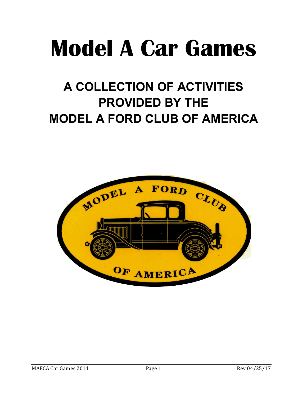# **Model A Car Games**

# **A COLLECTION OF ACTIVITIES PROVIDED BY THE MODEL A FORD CLUB OF AMERICA**

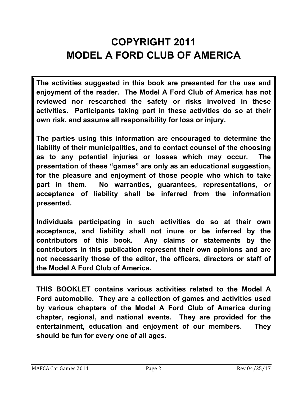## **COPYRIGHT 2011 MODEL A FORD CLUB OF AMERICA**

**The activities suggested in this book are presented for the use and enjoyment of the reader. The Model A Ford Club of America has not reviewed nor researched the safety or risks involved in these activities. Participants taking part in these activities do so at their own risk, and assume all responsibility for loss or injury.** 

**The parties using this information are encouraged to determine the liability of their municipalities, and to contact counsel of the choosing as to any potential injuries or losses which may occur. The presentation of these "games" are only as an educational suggestion, for the pleasure and enjoyment of those people who which to take part in them. No warranties, guarantees, representations, or acceptance of liability shall be inferred from the information presented.** 

**Individuals participating in such activities do so at their own acceptance, and liability shall not inure or be inferred by the contributors of this book. Any claims or statements by the contributors in this publication represent their own opinions and are not necessarily those of the editor, the officers, directors or staff of the Model A Ford Club of America.** 

**THIS BOOKLET contains various activities related to the Model A Ford automobile. They are a collection of games and activities used by various chapters of the Model A Ford Club of America during chapter, regional, and national events. They are provided for the entertainment, education and enjoyment of our members. They should be fun for every one of all ages.**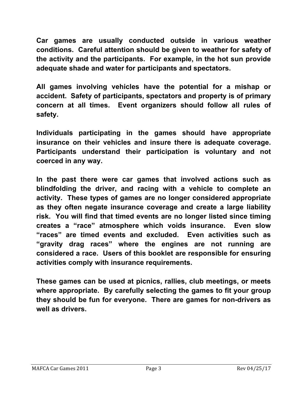**Car games are usually conducted outside in various weather conditions. Careful attention should be given to weather for safety of the activity and the participants. For example, in the hot sun provide adequate shade and water for participants and spectators.** 

**All games involving vehicles have the potential for a mishap or accident. Safety of participants, spectators and property is of primary concern at all times. Event organizers should follow all rules of safety.** 

**Individuals participating in the games should have appropriate insurance on their vehicles and insure there is adequate coverage. Participants understand their participation is voluntary and not coerced in any way.** 

**In the past there were car games that involved actions such as blindfolding the driver, and racing with a vehicle to complete an activity. These types of games are no longer considered appropriate as they often negate insurance coverage and create a large liability risk. You will find that timed events are no longer listed since timing creates a "race" atmosphere which voids insurance. Even slow "races" are timed events and excluded. Even activities such as "gravity drag races" where the engines are not running are considered a race. Users of this booklet are responsible for ensuring activities comply with insurance requirements.** 

**These games can be used at picnics, rallies, club meetings, or meets where appropriate. By carefully selecting the games to fit your group they should be fun for everyone. There are games for non-drivers as well as drivers.**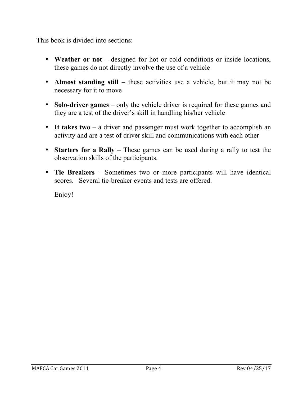This book is divided into sections:

- **Weather or not** designed for hot or cold conditions or inside locations, these games do not directly involve the use of a vehicle
- **Almost standing still** these activities use a vehicle, but it may not be necessary for it to move
- **Solo-driver games** only the vehicle driver is required for these games and they are a test of the driver's skill in handling his/her vehicle
- **It takes two** a driver and passenger must work together to accomplish an activity and are a test of driver skill and communications with each other
- **Starters for a Rally** These games can be used during a rally to test the observation skills of the participants.
- **Tie Breakers**  Sometimes two or more participants will have identical scores. Several tie-breaker events and tests are offered.

Enjoy!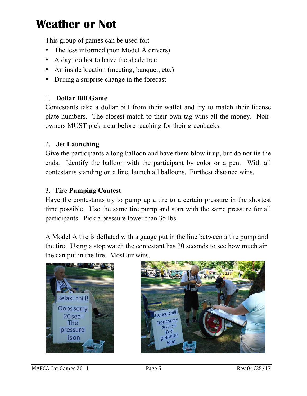This group of games can be used for:

- The less informed (non Model A drivers)
- A day too hot to leave the shade tree
- An inside location (meeting, banquet, etc.)
- During a surprise change in the forecast

### 1. **Dollar Bill Game**

Contestants take a dollar bill from their wallet and try to match their license plate numbers. The closest match to their own tag wins all the money. Nonowners MUST pick a car before reaching for their greenbacks.

#### 2. **Jet Launching**

Give the participants a long balloon and have them blow it up, but do not tie the ends. Identify the balloon with the participant by color or a pen. With all contestants standing on a line, launch all balloons. Furthest distance wins.

### 3. **Tire Pumping Contest**

Have the contestants try to pump up a tire to a certain pressure in the shortest time possible. Use the same tire pump and start with the same pressure for all participants. Pick a pressure lower than 35 lbs.

A Model A tire is deflated with a gauge put in the line between a tire pump and the tire. Using a stop watch the contestant has 20 seconds to see how much air the can put in the tire. Most air wins.



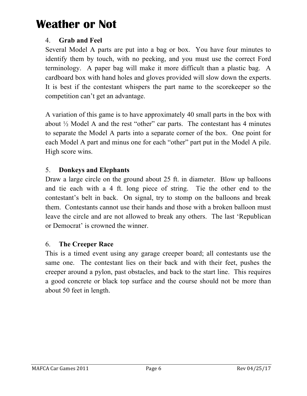### 4. **Grab and Feel**

Several Model A parts are put into a bag or box. You have four minutes to identify them by touch, with no peeking, and you must use the correct Ford terminology. A paper bag will make it more difficult than a plastic bag. A cardboard box with hand holes and gloves provided will slow down the experts. It is best if the contestant whispers the part name to the scorekeeper so the competition can't get an advantage.

A variation of this game is to have approximately 40 small parts in the box with about  $\frac{1}{2}$  Model A and the rest "other" car parts. The contestant has 4 minutes to separate the Model A parts into a separate corner of the box. One point for each Model A part and minus one for each "other" part put in the Model A pile. High score wins.

### 5. **Donkeys and Elephants**

Draw a large circle on the ground about 25 ft. in diameter. Blow up balloons and tie each with a 4 ft. long piece of string. Tie the other end to the contestant's belt in back. On signal, try to stomp on the balloons and break them. Contestants cannot use their hands and those with a broken balloon must leave the circle and are not allowed to break any others. The last 'Republican or Democrat' is crowned the winner.

### 6. **The Creeper Race**

This is a timed event using any garage creeper board; all contestants use the same one. The contestant lies on their back and with their feet, pushes the creeper around a pylon, past obstacles, and back to the start line. This requires a good concrete or black top surface and the course should not be more than about 50 feet in length.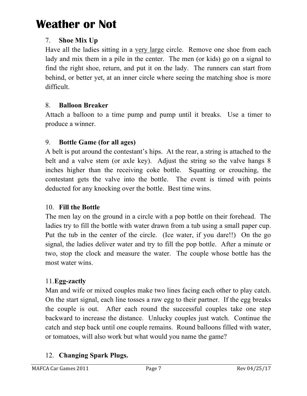### 7. **Shoe Mix Up**

Have all the ladies sitting in a very large circle. Remove one shoe from each lady and mix them in a pile in the center. The men (or kids) go on a signal to find the right shoe, return, and put it on the lady. The runners can start from behind, or better yet, at an inner circle where seeing the matching shoe is more difficult.

### 8. **Balloon Breaker**

Attach a balloon to a time pump and pump until it breaks. Use a timer to produce a winner.

### 9. **Bottle Game (for all ages)**

A belt is put around the contestant's hips. At the rear, a string is attached to the belt and a valve stem (or axle key). Adjust the string so the valve hangs 8 inches higher than the receiving coke bottle. Squatting or crouching, the contestant gets the valve into the bottle. The event is timed with points deducted for any knocking over the bottle. Best time wins.

### 10. **Fill the Bottle**

The men lay on the ground in a circle with a pop bottle on their forehead. The ladies try to fill the bottle with water drawn from a tub using a small paper cup. Put the tub in the center of the circle. (Ice water, if you dare!!) On the go signal, the ladies deliver water and try to fill the pop bottle. After a minute or two, stop the clock and measure the water. The couple whose bottle has the most water wins.

### 11.**Egg-zactly**

Man and wife or mixed couples make two lines facing each other to play catch. On the start signal, each line tosses a raw egg to their partner. If the egg breaks the couple is out. After each round the successful couples take one step backward to increase the distance. Unlucky couples just watch. Continue the catch and step back until one couple remains. Round balloons filled with water, or tomatoes, will also work but what would you name the game?

### 12. **Changing Spark Plugs.**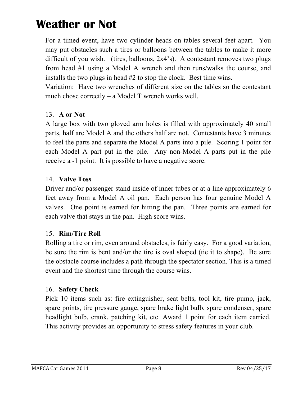For a timed event, have two cylinder heads on tables several feet apart. You may put obstacles such a tires or balloons between the tables to make it more difficult of you wish. (tires, balloons, 2x4's). A contestant removes two plugs from head #1 using a Model A wrench and then runs/walks the course, and installs the two plugs in head #2 to stop the clock. Best time wins.

Variation: Have two wrenches of different size on the tables so the contestant much chose correctly – a Model T wrench works well.

### 13. **A or Not**

A large box with two gloved arm holes is filled with approximately 40 small parts, half are Model A and the others half are not. Contestants have 3 minutes to feel the parts and separate the Model A parts into a pile. Scoring 1 point for each Model A part put in the pile. Any non-Model A parts put in the pile receive a -1 point. It is possible to have a negative score.

#### 14. **Valve Toss**

Driver and/or passenger stand inside of inner tubes or at a line approximately 6 feet away from a Model A oil pan. Each person has four genuine Model A valves. One point is earned for hitting the pan. Three points are earned for each valve that stays in the pan. High score wins.

### 15. **Rim/Tire Roll**

Rolling a tire or rim, even around obstacles, is fairly easy. For a good variation, be sure the rim is bent and/or the tire is oval shaped (tie it to shape). Be sure the obstacle course includes a path through the spectator section. This is a timed event and the shortest time through the course wins.

#### 16. **Safety Check**

Pick 10 items such as: fire extinguisher, seat belts, tool kit, tire pump, jack, spare points, tire pressure gauge, spare brake light bulb, spare condenser, spare headlight bulb, crank, patching kit, etc. Award 1 point for each item carried. This activity provides an opportunity to stress safety features in your club.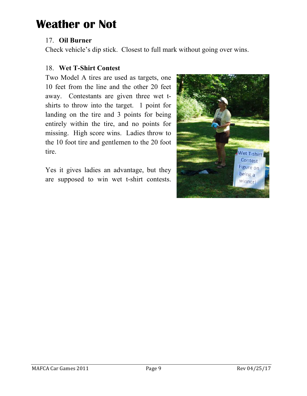#### 17. **Oil Burner**

Check vehicle's dip stick. Closest to full mark without going over wins.

#### 18. **Wet T-Shirt Contest**

Two Model A tires are used as targets, one 10 feet from the line and the other 20 feet away. Contestants are given three wet tshirts to throw into the target. 1 point for landing on the tire and 3 points for being entirely within the tire, and no points for missing. High score wins. Ladies throw to the 10 foot tire and gentlemen to the 20 foot tire.

Yes it gives ladies an advantage, but they are supposed to win wet t-shirt contests.

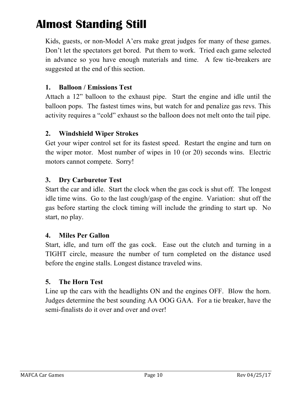Kids, guests, or non-Model A'ers make great judges for many of these games. Don't let the spectators get bored. Put them to work. Tried each game selected in advance so you have enough materials and time. A few tie-breakers are suggested at the end of this section.

#### **1. Balloon / Emissions Test**

Attach a 12" balloon to the exhaust pipe. Start the engine and idle until the balloon pops. The fastest times wins, but watch for and penalize gas revs. This activity requires a "cold" exhaust so the balloon does not melt onto the tail pipe.

#### **2. Windshield Wiper Strokes**

Get your wiper control set for its fastest speed. Restart the engine and turn on the wiper motor. Most number of wipes in 10 (or 20) seconds wins. Electric motors cannot compete. Sorry!

### **3. Dry Carburetor Test**

Start the car and idle. Start the clock when the gas cock is shut off. The longest idle time wins. Go to the last cough/gasp of the engine. Variation: shut off the gas before starting the clock timing will include the grinding to start up. No start, no play.

#### **4. Miles Per Gallon**

Start, idle, and turn off the gas cock. Ease out the clutch and turning in a TIGHT circle, measure the number of turn completed on the distance used before the engine stalls. Longest distance traveled wins.

#### **5. The Horn Test**

Line up the cars with the headlights ON and the engines OFF. Blow the horn. Judges determine the best sounding AA OOG GAA. For a tie breaker, have the semi-finalists do it over and over and over!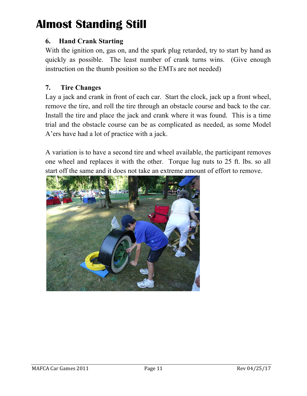### **6. Hand Crank Starting**

With the ignition on, gas on, and the spark plug retarded, try to start by hand as quickly as possible. The least number of crank turns wins. (Give enough instruction on the thumb position so the EMTs are not needed)

### **7. Tire Changes**

Lay a jack and crank in front of each car. Start the clock, jack up a front wheel, remove the tire, and roll the tire through an obstacle course and back to the car. Install the tire and place the jack and crank where it was found. This is a time trial and the obstacle course can be as complicated as needed, as some Model A'ers have had a lot of practice with a jack.

A variation is to have a second tire and wheel available, the participant removes one wheel and replaces it with the other. Torque lug nuts to 25 ft. lbs. so all start off the same and it does not take an extreme amount of effort to remove.

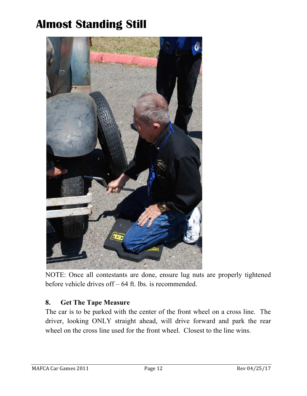

NOTE: Once all contestants are done, ensure lug nuts are properly tightened before vehicle drives off – 64 ft. lbs. is recommended.

### **8. Get The Tape Measure**

The car is to be parked with the center of the front wheel on a cross line. The driver, looking ONLY straight ahead, will drive forward and park the rear wheel on the cross line used for the front wheel. Closest to the line wins.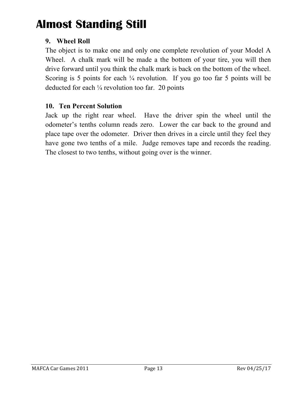### **9. Wheel Roll**

The object is to make one and only one complete revolution of your Model A Wheel. A chalk mark will be made a the bottom of your tire, you will then drive forward until you think the chalk mark is back on the bottom of the wheel. Scoring is 5 points for each  $\frac{1}{4}$  revolution. If you go too far 5 points will be deducted for each ¼ revolution too far. 20 points

#### **10. Ten Percent Solution**

Jack up the right rear wheel. Have the driver spin the wheel until the odometer's tenths column reads zero. Lower the car back to the ground and place tape over the odometer. Driver then drives in a circle until they feel they have gone two tenths of a mile. Judge removes tape and records the reading. The closest to two tenths, without going over is the winner.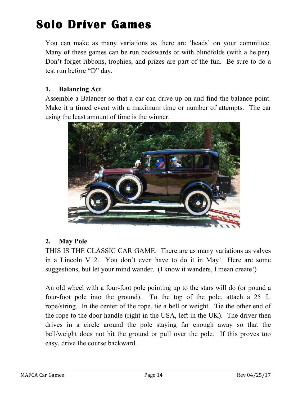You can make as many variations as there are 'heads' on your committee. Many of these games can be run backwards or with blindfolds (with a helper). Don't forget ribbons, trophies, and prizes are part of the fun. Be sure to do a test run before "D" day.

#### **1. Balancing Act**

Assemble a Balancer so that a car can drive up on and find the balance point. Make it a timed event with a maximum time or number of attempts. The car using the least amount of time is the winner.



#### **2. May Pole**

THIS IS THE CLASSIC CAR GAME. There are as many variations as valves in a Lincoln V12. You don't even have to do it in May! Here are some suggestions, but let your mind wander. (I know it wanders, I mean create!)

An old wheel with a four-foot pole pointing up to the stars will do (or pound a four-foot pole into the ground). To the top of the pole, attach a 25 ft. rope/string. In the center of the rope, tie a bell or weight. Tie the other end of the rope to the door handle (right in the USA, left in the UK). The driver then drives in a circle around the pole staying far enough away so that the bell/weight does not hit the ground or pull over the pole. If this proves too easy, drive the course backward.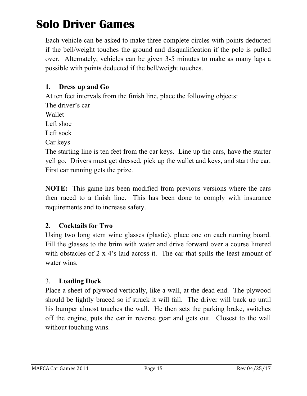Each vehicle can be asked to make three complete circles with points deducted if the bell/weight touches the ground and disqualification if the pole is pulled over. Alternately, vehicles can be given 3-5 minutes to make as many laps a possible with points deducted if the bell/weight touches.

### **1. Dress up and Go**

At ten feet intervals from the finish line, place the following objects:

The driver's car

Wallet

Left shoe

Left sock

Car keys

The starting line is ten feet from the car keys. Line up the cars, have the starter yell go. Drivers must get dressed, pick up the wallet and keys, and start the car. First car running gets the prize.

**NOTE:** This game has been modified from previous versions where the cars then raced to a finish line. This has been done to comply with insurance requirements and to increase safety.

### **2. Cocktails for Two**

Using two long stem wine glasses (plastic), place one on each running board. Fill the glasses to the brim with water and drive forward over a course littered with obstacles of 2 x 4's laid across it. The car that spills the least amount of water wins.

### 3. **Loading Dock**

Place a sheet of plywood vertically, like a wall, at the dead end. The plywood should be lightly braced so if struck it will fall. The driver will back up until his bumper almost touches the wall. He then sets the parking brake, switches off the engine, puts the car in reverse gear and gets out. Closest to the wall without touching wins.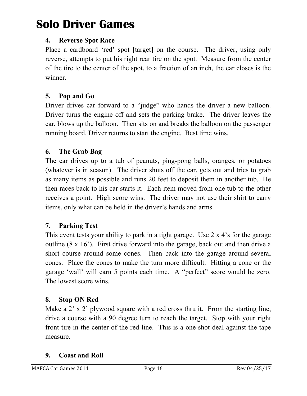### **4. Reverse Spot Race**

Place a cardboard 'red' spot [target] on the course. The driver, using only reverse, attempts to put his right rear tire on the spot. Measure from the center of the tire to the center of the spot, to a fraction of an inch, the car closes is the winner.

### **5. Pop and Go**

Driver drives car forward to a "judge" who hands the driver a new balloon. Driver turns the engine off and sets the parking brake. The driver leaves the car, blows up the balloon. Then sits on and breaks the balloon on the passenger running board. Driver returns to start the engine. Best time wins.

### **6. The Grab Bag**

The car drives up to a tub of peanuts, ping-pong balls, oranges, or potatoes (whatever is in season). The driver shuts off the car, gets out and tries to grab as many items as possible and runs 20 feet to deposit them in another tub. He then races back to his car starts it. Each item moved from one tub to the other receives a point. High score wins. The driver may not use their shirt to carry items, only what can be held in the driver's hands and arms.

#### **7. Parking Test**

This event tests your ability to park in a tight garage. Use 2 x 4's for the garage outline (8 x 16'). First drive forward into the garage, back out and then drive a short course around some cones. Then back into the garage around several cones. Place the cones to make the turn more difficult. Hitting a cone or the garage 'wall' will earn 5 points each time. A "perfect" score would be zero. The lowest score wins.

### **8. Stop ON Red**

Make a 2' x 2' plywood square with a red cross thru it. From the starting line, drive a course with a 90 degree turn to reach the target. Stop with your right front tire in the center of the red line. This is a one-shot deal against the tape measure.

#### **9. Coast and Roll**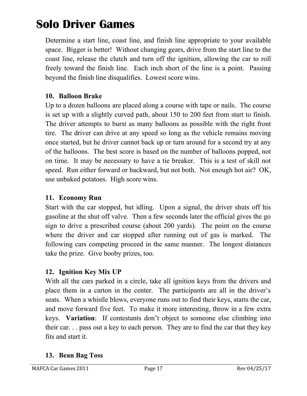Determine a start line, coast line, and finish line appropriate to your available space. Bigger is better! Without changing gears, drive from the start line to the coast line, release the clutch and turn off the ignition, allowing the car to roll freely toward the finish line. Each inch short of the line is a point. Passing beyond the finish line disqualifies. Lowest score wins.

### **10. Balloon Brake**

Up to a dozen balloons are placed along a course with tape or nails. The course is set up with a slightly curved path, about 150 to 200 feet from start to finish. The driver attempts to burst as many balloons as possible with the right front tire. The driver can drive at any speed so long as the vehicle remains moving once started, but he driver cannot back up or turn around for a second try at any of the balloons. The best score is based on the number of balloons popped, not on time. It may be necessary to have a tie breaker. This is a test of skill not speed. Run either forward or backward, but not both. Not enough hot air? OK, use unbaked potatoes. High score wins.

### **11. Economy Run**

Start with the car stopped, but idling. Upon a signal, the driver shuts off his gasoline at the shut off valve. Then a few seconds later the official gives the go sign to drive a prescribed course (about 200 yards). The point on the course where the driver and car stopped after running out of gas is marked. The following cars competing proceed in the same manner. The longest distances take the prize. Give booby prizes, too.

### **12. Ignition Key Mix UP**

With all the cars parked in a circle, take all ignition keys from the drivers and place them in a carton in the center. The participants are all in the driver's seats. When a whistle blows, everyone runs out to find their keys, starts the car, and move forward five feet. To make it more interesting, throw in a few extra keys. **Variation**: If contestants don't object to someone else climbing into their car. . . pass out a key to each person. They are to find the car that they key fits and start it.

### **13. Bean Bag Toss**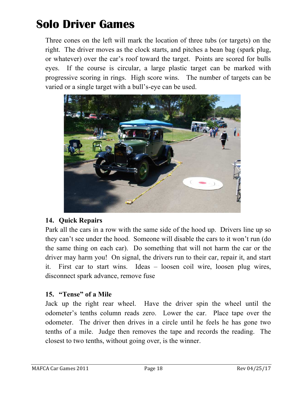Three cones on the left will mark the location of three tubs (or targets) on the right. The driver moves as the clock starts, and pitches a bean bag (spark plug, or whatever) over the car's roof toward the target. Points are scored for bulls eyes. If the course is circular, a large plastic target can be marked with progressive scoring in rings. High score wins. The number of targets can be varied or a single target with a bull's-eye can be used.



### **14. Quick Repairs**

Park all the cars in a row with the same side of the hood up. Drivers line up so they can't see under the hood. Someone will disable the cars to it won't run (do the same thing on each car). Do something that will not harm the car or the driver may harm you! On signal, the drivers run to their car, repair it, and start it. First car to start wins. Ideas – loosen coil wire, loosen plug wires, disconnect spark advance, remove fuse

### **15. "Tense" of a Mile**

Jack up the right rear wheel. Have the driver spin the wheel until the odometer's tenths column reads zero. Lower the car. Place tape over the odometer. The driver then drives in a circle until he feels he has gone two tenths of a mile. Judge then removes the tape and records the reading. The closest to two tenths, without going over, is the winner.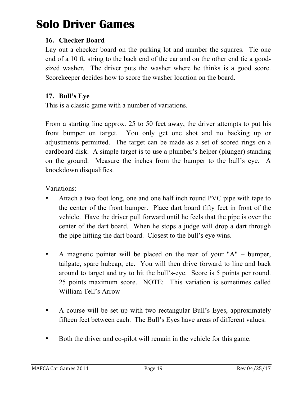### **16. Checker Board**

Lay out a checker board on the parking lot and number the squares. Tie one end of a 10 ft. string to the back end of the car and on the other end tie a goodsized washer. The driver puts the washer where he thinks is a good score. Scorekeeper decides how to score the washer location on the board.

### **17. Bull's Eye**

This is a classic game with a number of variations.

From a starting line approx. 25 to 50 feet away, the driver attempts to put his front bumper on target. You only get one shot and no backing up or adjustments permitted. The target can be made as a set of scored rings on a cardboard disk. A simple target is to use a plumber's helper (plunger) standing on the ground. Measure the inches from the bumper to the bull's eye. A knockdown disqualifies.

Variations:

- Attach a two foot long, one and one half inch round PVC pipe with tape to the center of the front bumper. Place dart board fifty feet in front of the vehicle. Have the driver pull forward until he feels that the pipe is over the center of the dart board. When he stops a judge will drop a dart through the pipe hitting the dart board. Closest to the bull's eye wins.
- A magnetic pointer will be placed on the rear of your "A" bumper, tailgate, spare hubcap, etc. You will then drive forward to line and back around to target and try to hit the bull's-eye. Score is 5 points per round. 25 points maximum score. NOTE: This variation is sometimes called William Tell's Arrow
- A course will be set up with two rectangular Bull's Eyes, approximately fifteen feet between each. The Bull's Eyes have areas of different values.
- Both the driver and co-pilot will remain in the vehicle for this game.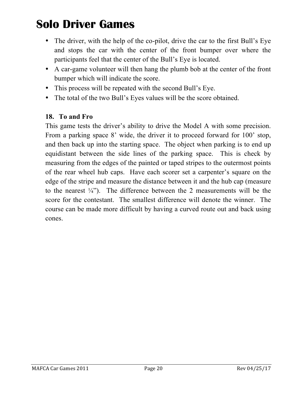- The driver, with the help of the co-pilot, drive the car to the first Bull's Eye and stops the car with the center of the front bumper over where the participants feel that the center of the Bull's Eye is located.
- A car-game volunteer will then hang the plumb bob at the center of the front bumper which will indicate the score.
- This process will be repeated with the second Bull's Eye.
- The total of the two Bull's Eyes values will be the score obtained.

### **18. To and Fro**

This game tests the driver's ability to drive the Model A with some precision. From a parking space 8' wide, the driver it to proceed forward for 100' stop, and then back up into the starting space. The object when parking is to end up equidistant between the side lines of the parking space. This is check by measuring from the edges of the painted or taped stripes to the outermost points of the rear wheel hub caps. Have each scorer set a carpenter's square on the edge of the stripe and measure the distance between it and the hub cap (measure to the nearest  $\frac{1}{4}$ "). The difference between the 2 measurements will be the score for the contestant. The smallest difference will denote the winner. The course can be made more difficult by having a curved route out and back using cones.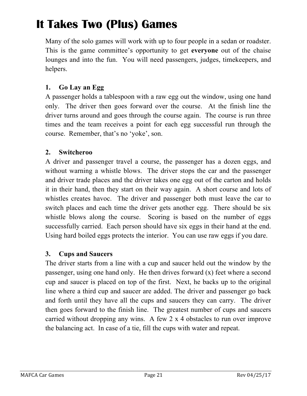Many of the solo games will work with up to four people in a sedan or roadster. This is the game committee's opportunity to get **everyone** out of the chaise lounges and into the fun. You will need passengers, judges, timekeepers, and helpers.

### **1. Go Lay an Egg**

A passenger holds a tablespoon with a raw egg out the window, using one hand only. The driver then goes forward over the course. At the finish line the driver turns around and goes through the course again. The course is run three times and the team receives a point for each egg successful run through the course. Remember, that's no 'yoke', son.

#### **2. Switcheroo**

A driver and passenger travel a course, the passenger has a dozen eggs, and without warning a whistle blows. The driver stops the car and the passenger and driver trade places and the driver takes one egg out of the carton and holds it in their hand, then they start on their way again. A short course and lots of whistles creates havoc. The driver and passenger both must leave the car to switch places and each time the driver gets another egg. There should be six whistle blows along the course. Scoring is based on the number of eggs successfully carried. Each person should have six eggs in their hand at the end. Using hard boiled eggs protects the interior. You can use raw eggs if you dare.

#### **3. Cups and Saucers**

The driver starts from a line with a cup and saucer held out the window by the passenger, using one hand only. He then drives forward (x) feet where a second cup and saucer is placed on top of the first. Next, he backs up to the original line where a third cup and saucer are added. The driver and passenger go back and forth until they have all the cups and saucers they can carry. The driver then goes forward to the finish line. The greatest number of cups and saucers carried without dropping any wins. A few 2 x 4 obstacles to run over improve the balancing act. In case of a tie, fill the cups with water and repeat.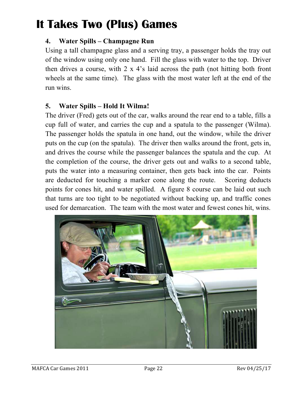#### **4. Water Spills – Champagne Run**

Using a tall champagne glass and a serving tray, a passenger holds the tray out of the window using only one hand. Fill the glass with water to the top. Driver then drives a course, with  $2 \times 4$ 's laid across the path (not hitting both front wheels at the same time). The glass with the most water left at the end of the run wins.

#### **5. Water Spills – Hold It Wilma!**

The driver (Fred) gets out of the car, walks around the rear end to a table, fills a cup full of water, and carries the cup and a spatula to the passenger (Wilma). The passenger holds the spatula in one hand, out the window, while the driver puts on the cup (on the spatula). The driver then walks around the front, gets in, and drives the course while the passenger balances the spatula and the cup. At the completion of the course, the driver gets out and walks to a second table, puts the water into a measuring container, then gets back into the car. Points are deducted for touching a marker cone along the route. Scoring deducts points for cones hit, and water spilled. A figure 8 course can be laid out such that turns are too tight to be negotiated without backing up, and traffic cones used for demarcation. The team with the most water and fewest cones hit, wins.

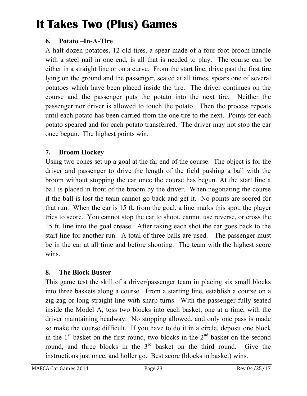### **6. Potato –In-A-Tire**

A half-dozen potatoes, 12 old tires, a spear made of a four foot broom handle with a steel nail in one end, is all that is needed to play. The course can be either in a straight line or on a curve. From the start line, drive past the first tire lying on the ground and the passenger, seated at all times, spears one of several potatoes which have been placed inside the tire. The driver continues on the course and the passenger puts the potato into the next tire. Neither the passenger nor driver is allowed to touch the potato. Then the process repeats until each potato has been carried from the one tire to the next. Points for each potato speared and for each potato transferred. The driver may not stop the car once begun. The highest points win.

### **7. Broom Hockey**

Using two cones set up a goal at the far end of the course. The object is for the driver and passenger to drive the length of the field pushing a ball with the broom without stopping the car once the course has begun. At the start line a ball is placed in front of the broom by the driver. When negotiating the course if the ball is lost the team cannot go back and get it. No points are scored for that run. When the car is 15 ft. from the goal, a line marks this spot, the player tries to score. You cannot stop the car to shoot, cannot use reverse, or cross the 15 ft. line into the goal crease. After taking each shot the car goes back to the start line for another run. A total of three balls are used. The passenger must be in the car at all time and before shooting. The team with the highest score wins.

### **8. The Block Buster**

This game test the skill of a driver/passenger team in placing six small blocks into three baskets along a course. From a starting line, establish a course on a zig-zag or long straight line with sharp turns. With the passenger fully seated inside the Model A, toss two blocks into each basket, one at a time, with the driver maintaining headway. No stopping allowed, and only one pass is made so make the course difficult. If you have to do it in a circle, deposit one block in the  $1<sup>st</sup>$  basket on the first round, two blocks in the  $2<sup>nd</sup>$  basket on the second round, and three blocks in the 3<sup>rd</sup> basket on the third round. Give the instructions just once, and holler go. Best score (blocks in basket) wins.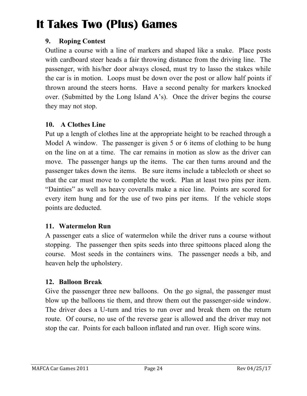### **9. Roping Contest**

Outline a course with a line of markers and shaped like a snake. Place posts with cardboard steer heads a fair throwing distance from the driving line. The passenger, with his/her door always closed, must try to lasso the stakes while the car is in motion. Loops must be down over the post or allow half points if thrown around the steers horns. Have a second penalty for markers knocked over. (Submitted by the Long Island A's). Once the driver begins the course they may not stop.

### **10. A Clothes Line**

Put up a length of clothes line at the appropriate height to be reached through a Model A window. The passenger is given 5 or 6 items of clothing to be hung on the line on at a time. The car remains in motion as slow as the driver can move. The passenger hangs up the items. The car then turns around and the passenger takes down the items. Be sure items include a tablecloth or sheet so that the car must move to complete the work. Plan at least two pins per item. "Dainties" as well as heavy coveralls make a nice line. Points are scored for every item hung and for the use of two pins per items. If the vehicle stops points are deducted.

### **11. Watermelon Run**

A passenger eats a slice of watermelon while the driver runs a course without stopping. The passenger then spits seeds into three spittoons placed along the course. Most seeds in the containers wins. The passenger needs a bib, and heaven help the upholstery.

#### **12. Balloon Break**

Give the passenger three new balloons. On the go signal, the passenger must blow up the balloons tie them, and throw them out the passenger-side window. The driver does a U-turn and tries to run over and break them on the return route. Of course, no use of the reverse gear is allowed and the driver may not stop the car. Points for each balloon inflated and run over. High score wins.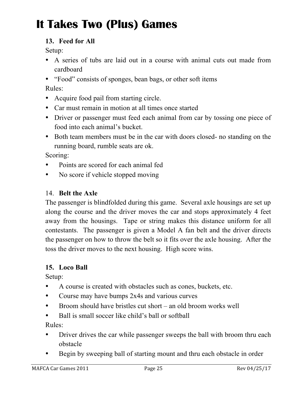### **13. Feed for All**

Setup:

- A series of tubs are laid out in a course with animal cuts out made from cardboard
- "Food" consists of sponges, bean bags, or other soft items

Rules:

- Acquire food pail from starting circle.
- Car must remain in motion at all times once started
- Driver or passenger must feed each animal from car by tossing one piece of food into each animal's bucket.
- Both team members must be in the car with doors closed- no standing on the running board, rumble seats are ok.

Scoring:

- Points are scored for each animal fed
- No score if vehicle stopped moving

### 14. **Belt the Axle**

The passenger is blindfolded during this game. Several axle housings are set up along the course and the driver moves the car and stops approximately 4 feet away from the housings. Tape or string makes this distance uniform for all contestants. The passenger is given a Model A fan belt and the driver directs the passenger on how to throw the belt so it fits over the axle housing. After the toss the driver moves to the next housing. High score wins.

### **15. Loco Ball**

Setup:

- A course is created with obstacles such as cones, buckets, etc.
- Course may have bumps 2x4s and various curves
- Broom should have bristles cut short an old broom works well
- Ball is small soccer like child's ball or softball

Rules:

- Driver drives the car while passenger sweeps the ball with broom thru each obstacle
- Begin by sweeping ball of starting mount and thru each obstacle in order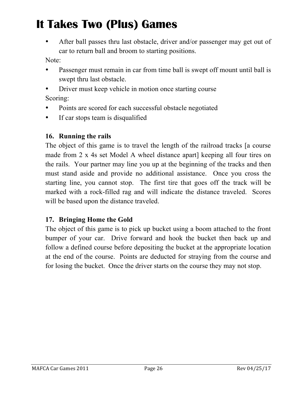• After ball passes thru last obstacle, driver and/or passenger may get out of car to return ball and broom to starting positions.

Note:

- Passenger must remain in car from time ball is swept off mount until ball is swept thru last obstacle.
- Driver must keep vehicle in motion once starting course Scoring:
- Points are scored for each successful obstacle negotiated
- If car stops team is disqualified

#### **16. Running the rails**

The object of this game is to travel the length of the railroad tracks [a course made from 2 x 4s set Model A wheel distance apart] keeping all four tires on the rails. Your partner may line you up at the beginning of the tracks and then must stand aside and provide no additional assistance. Once you cross the starting line, you cannot stop. The first tire that goes off the track will be marked with a rock-filled rag and will indicate the distance traveled. Scores will be based upon the distance traveled.

#### **17. Bringing Home the Gold**

The object of this game is to pick up bucket using a boom attached to the front bumper of your car. Drive forward and hook the bucket then back up and follow a defined course before depositing the bucket at the appropriate location at the end of the course. Points are deducted for straying from the course and for losing the bucket. Once the driver starts on the course they may not stop.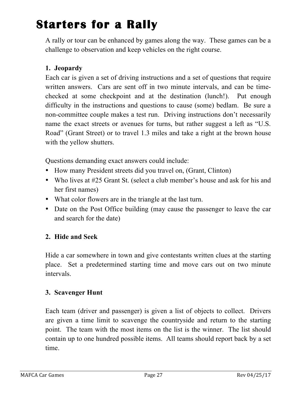# **Starters for a Rally**

A rally or tour can be enhanced by games along the way. These games can be a challenge to observation and keep vehicles on the right course.

### **1. Jeopardy**

Each car is given a set of driving instructions and a set of questions that require written answers. Cars are sent off in two minute intervals, and can be timechecked at some checkpoint and at the destination (lunch!). Put enough difficulty in the instructions and questions to cause (some) bedlam. Be sure a non-committee couple makes a test run. Driving instructions don't necessarily name the exact streets or avenues for turns, but rather suggest a left as "U.S. Road" (Grant Street) or to travel 1.3 miles and take a right at the brown house with the yellow shutters.

Questions demanding exact answers could include:

- How many President streets did you travel on, (Grant, Clinton)
- Who lives at #25 Grant St. (select a club member's house and ask for his and her first names)
- What color flowers are in the triangle at the last turn.
- Date on the Post Office building (may cause the passenger to leave the car and search for the date)

#### **2. Hide and Seek**

Hide a car somewhere in town and give contestants written clues at the starting place. Set a predetermined starting time and move cars out on two minute intervals.

#### **3. Scavenger Hunt**

Each team (driver and passenger) is given a list of objects to collect. Drivers are given a time limit to scavenge the countryside and return to the starting point. The team with the most items on the list is the winner. The list should contain up to one hundred possible items. All teams should report back by a set time.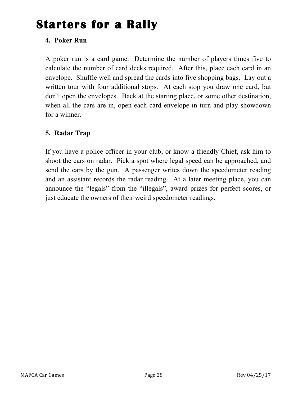# **Starters for a Rally**

### **4. Poker Run**

A poker run is a card game. Determine the number of players times five to calculate the number of card decks required. After this, place each card in an envelope. Shuffle well and spread the cards into five shopping bags. Lay out a written tour with four additional stops. At each stop you draw one card, but don't open the envelopes. Back at the starting place, or some other destination, when all the cars are in, open each card envelope in turn and play showdown for a winner.

### **5. Radar Trap**

If you have a police officer in your club, or know a friendly Chief, ask him to shoot the cars on radar. Pick a spot where legal speed can be approached, and send the cars by the gun. A passenger writes down the speedometer reading and an assistant records the radar reading. At a later meeting place, you can announce the "legals" from the "illegals", award prizes for perfect scores, or just educate the owners of their weird speedometer readings.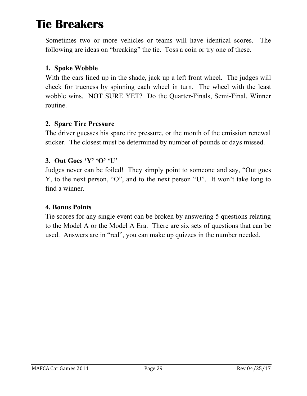Sometimes two or more vehicles or teams will have identical scores. The following are ideas on "breaking" the tie. Toss a coin or try one of these.

### **1. Spoke Wobble**

With the cars lined up in the shade, jack up a left front wheel. The judges will check for trueness by spinning each wheel in turn. The wheel with the least wobble wins. NOT SURE YET? Do the Quarter-Finals, Semi-Final, Winner routine.

#### **2. Spare Tire Pressure**

The driver guesses his spare tire pressure, or the month of the emission renewal sticker. The closest must be determined by number of pounds or days missed.

#### **3. Out Goes 'Y' 'O' 'U'**

Judges never can be foiled! They simply point to someone and say, "Out goes Y, to the next person, "O", and to the next person "U". It won't take long to find a winner.

#### **4. Bonus Points**

Tie scores for any single event can be broken by answering 5 questions relating to the Model A or the Model A Era. There are six sets of questions that can be used. Answers are in "red", you can make up quizzes in the number needed.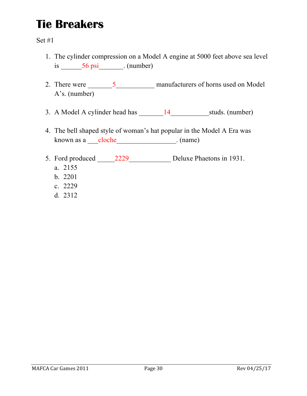- 1. The cylinder compression on a Model A engine at 5000 feet above sea level is  $56 \text{ psi}$  (number)
- 2. There were \_\_\_\_\_\_\_5\_\_\_\_\_\_\_\_\_\_\_ manufacturers of horns used on Model A's. (number)
- 3. A Model A cylinder head has \_\_\_\_\_\_\_14\_\_\_\_\_\_\_\_\_\_\_studs. (number)
- 4. The bell shaped style of woman's hat popular in the Model A Era was known as a <u>\_\_\_cloche</u> \_\_\_\_\_\_\_\_\_\_\_\_\_\_\_\_\_\_\_\_. (name)
- 5. Ford produced 2229 Deluxe Phaetons in 1931.
	- a. 2155
	- b. 2201
	- c. 2229
	- d. 2312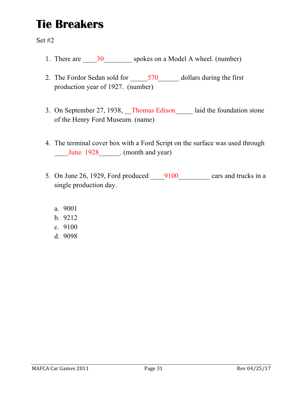- 1. There are \_\_\_\_\_\_30\_\_\_\_\_\_\_\_\_\_\_ spokes on a Model A wheel. (number)
- 2. The Fordor Sedan sold for  $\frac{570}{9}$  dollars during the first production year of 1927. (number)
- 3. On September 27, 1938, Thomas Edison laid the foundation stone of the Henry Ford Museum. (name)
- 4. The terminal cover box with a Ford Script on the surface was used through \_\_\_\_June 1928\_\_\_\_\_\_. (month and year)
- 5. On June 26, 1929, Ford produced 9100 cars and trucks in a single production day.
	- a. 9001
	- b. 9212
	- c. 9100
	- d. 9098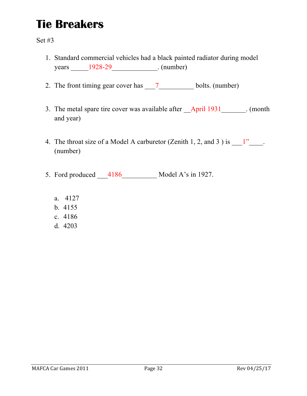- 1. Standard commercial vehicles had a black painted radiator during model years \_\_\_\_\_1928-29\_\_\_\_\_\_\_\_\_\_\_\_\_. (number)
- 2. The front timing gear cover has  $\frac{7}{2}$  bolts. (number)
- 3. The metal spare tire cover was available after **April 1931** (month and year)
- 4. The throat size of a Model A carburetor (Zenith 1, 2, and 3) is  $1$ ". (number)
- 5. Ford produced \_\_\_4186\_\_\_\_\_\_\_\_\_\_ Model A's in 1927.
	- a. 4127
	- b. 4155
	- c. 4186
	- d. 4203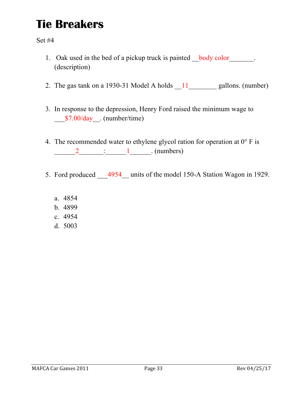- 1. Oak used in the bed of a pickup truck is painted body color (description)
- 2. The gas tank on a 1930-31 Model A holds  $\frac{11}{2}$  gallons. (number)
- 3. In response to the depression, Henry Ford raised the minimum wage to \_\_\_\$7.00/day\_\_. (number/time)
- 4. The recommended water to ethylene glycol ration for operation at  $0^{\circ}$  F is  $\underline{\hspace{1cm}} 2$   $\underline{\hspace{1cm}} 1$  (numbers)
- 5. Ford produced 4954 units of the model 150-A Station Wagon in 1929.
	- a. 4854
	- b. 4899
	- c. 4954
	- d. 5003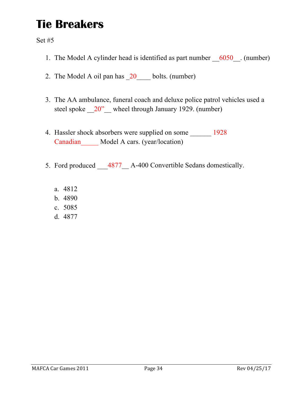- 1. The Model A cylinder head is identified as part number  $6050$ . (number)
- 2. The Model A oil pan has  $20$  bolts. (number)
- 3. The AA ambulance, funeral coach and deluxe police patrol vehicles used a steel spoke  $20''$  wheel through January 1929. (number)
- 4. Hassler shock absorbers were supplied on some \_\_\_\_\_\_\_ 1928 Canadian Model A cars. (year/location)
- 5. Ford produced  $4877$  A-400 Convertible Sedans domestically.
	- a. 4812
	- b. 4890
	- c. 5085
	- d. 4877